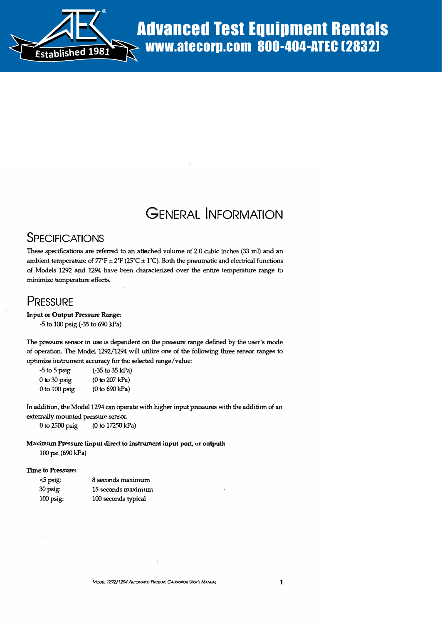

# GENERAL INFORMATION

## **SPECIFICATIONS**

These specifications are referred to an attached volume of 2.0 cubic inches (33 mI) and an ambient temperature of  $77^\circ F \pm 2^\circ F (25^\circ C \pm 1^\circ C)$ . Both the pneumatic and electrical functions minimiz e temperature effects. of Models 1292 and 1294 have been characterized over the entire temperature range to

## **PRESSURE**

## Input or Output Pressure Range;

-5 to 100 psig (-35 to 690 kPa)

The pressure sensor in use is dependent on the pressure range defined by the user's mode of operation. The Model 1292/1294 will utilize one of the following three sensor ranges to optimize instrument accuracy for the selected range/value:

| $-5$ to 5 psig    | $(-35$ to $35$ kPa) |
|-------------------|---------------------|
| $0$ to $30$ psig  | $(0$ to $207$ kPa)  |
| $0$ to $100$ psig | (0 to 690 kPa)      |

In addition, the Model 1294 can operate with higher input pressures with the addition of an externally mounted pressure sensor.

o to 2500 psig (0 to 17250 kPa)

Maximum Pressure (input direct to instrument input port, or output): 100 psi (690 kPa)

## Time to Pressure:

| $5$ psig:   | 8 seconds maximum   |
|-------------|---------------------|
| $30$ psig:  | 15 seconds maximum  |
| $100$ psig: | 100 seconds typical |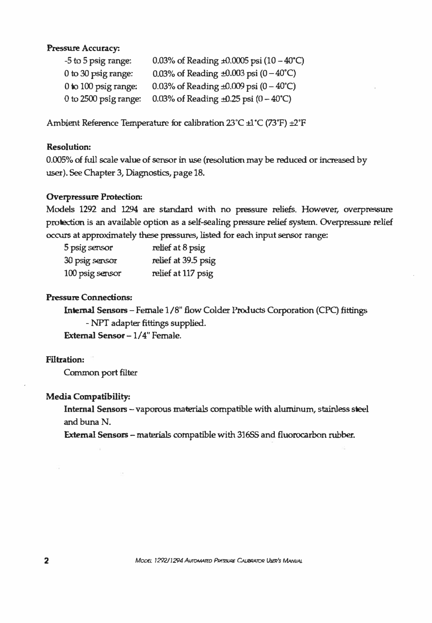### Pressure Accuracy:

| -5 to 5 psig range:   | 0.03% of Reading $\pm 0.0005$ psi (10 - 40°C) |
|-----------------------|-----------------------------------------------|
| 0 to 30 psig range:   | 0.03% of Reading $\pm 0.003$ psi (0 - 40°C)   |
| 0 to 100 psig range:  | 0.03% of Reading $\pm 0.009$ psi (0 – 40°C)   |
| 0 to 2500 psig range: | 0.03% of Reading $\pm$ 0.25 psi (0 – 40°C)    |

Ambient Reference Temperature for calibration  $23^{\circ}$ C  $\pm$ 1°C (73°F)  $\pm$ 2°F

## Resolution:

0.005% of full scale value of sensor in use (resolution may be reduced or increased by user). See Chapter 3, Diagnostics, page 18.

#### Overpressure Protection:

Models 1292 and 1294 are standard with no pressure reliefs. However, overpressure protection is an available option as a self-sealing pressure relief system. Overpressure relief occurs at approximately these pressures, listed for each input sensor range:

| 5 psig sensor   | relief at 8 psig    |
|-----------------|---------------------|
| 30 psig sensor  | relief at 39.5 psig |
| 100 psig sensor | relief at 117 psig  |

## Pressure Connections:

Internal Sensors -Female 1/8" flow Colder Products Corporation (CPC) fittings - NPT adapter fittings supplied.

External Sensor - 1/4" Female.

## Filtration:

Common port filter

#### Media Compatibility:

Internal Sensors - vaporous materials compatible with aluminum, stainless steel and buna N.

External Sensors - materials compatible with 31655 and fluorocarbon rubber.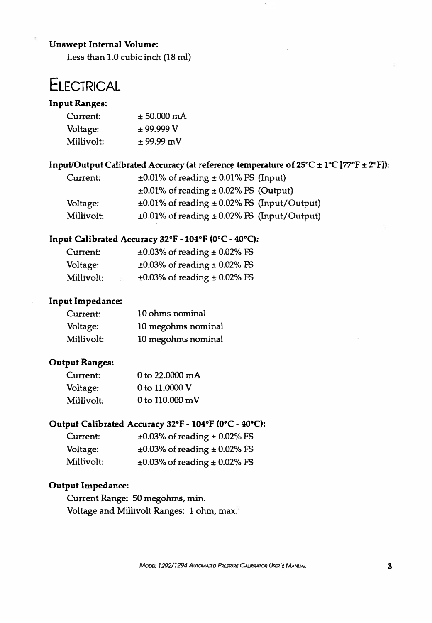## Unswept Internal Volume:

Less than 1.0 cubic inch (18 ml)

## **ELECTRICAL**

## Input Ranges:

| Current:   | $\pm$ 50.000 mA |
|------------|-----------------|
| Voltage:   | $+99.999V$      |
| Millivolt: | $± 99.99$ mV    |

## Input/Output Calibrated Accuracy (at reference temperature of  $25^{\circ}$ C  $\pm$  1°C [77°F  $\pm$  2°F]):

| Current:   | $\pm 0.01\%$ of reading $\pm 0.01\%$ FS (Input)        |
|------------|--------------------------------------------------------|
|            | $\pm 0.01\%$ of reading $\pm 0.02\%$ FS (Output)       |
| Voltage:   | $\pm 0.01\%$ of reading $\pm 0.02\%$ FS (Input/Output) |
| Millivolt: | $\pm 0.01\%$ of reading $\pm 0.02\%$ FS (Input/Output) |

## Input Calibrated Accuracy 32°F - 104°F (O°C - 40°C):

| Current:   | $\pm 0.03\%$ of reading $\pm 0.02\%$ FS |
|------------|-----------------------------------------|
| Voltage:   | $\pm 0.03\%$ of reading $\pm 0.02\%$ FS |
| Millivolt: | $\pm 0.03\%$ of reading $\pm 0.02\%$ FS |

## Input Impedance:

| Current:   | 10 ohms nominal    |
|------------|--------------------|
| Voltage:   | 10 megohms nominal |
| Millivolt: | 10 megohms nominal |

## Output Ranges:

| Current:   | 0 to $22,0000$ mA         |
|------------|---------------------------|
| Voltage:   | 0 to 11,0000 V            |
| Millivolt: | 0 to $110.000 \text{ mV}$ |

## Output Calibrated Accuracy 32°F -104°F (O°C - 40°C):

| Current:   | $\pm 0.03\%$ of reading $\pm 0.02\%$ FS |
|------------|-----------------------------------------|
| Voltage:   | $\pm 0.03\%$ of reading $\pm 0.02\%$ FS |
| Millivolt: | $\pm 0.03\%$ of reading $\pm 0.02\%$ FS |

## Output Impedance:

Current Range: 50 megohms, min. Voltage and Millivolt Ranges: 1 ohm, max.